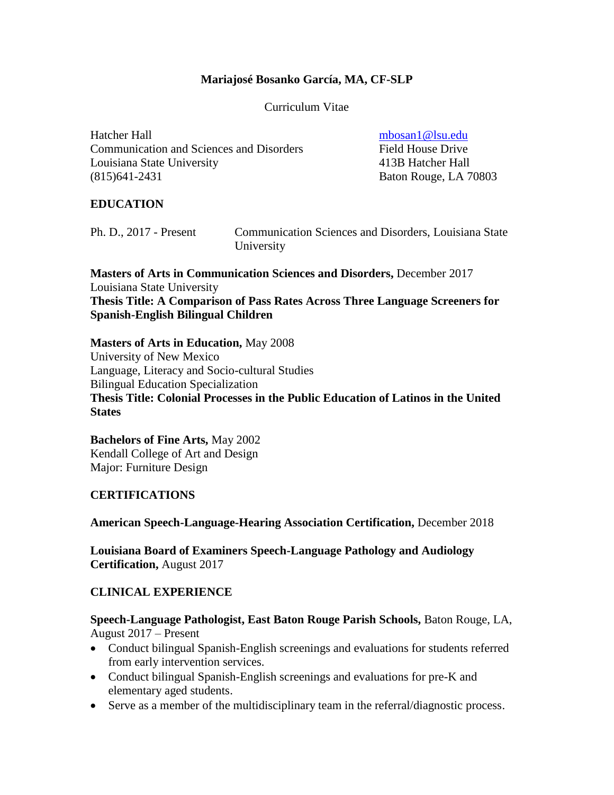#### **Mariajosé Bosanko García, MA, CF-SLP**

Curriculum Vitae

Hatcher Hall [mbosan1@lsu.edu](mailto:mbosan1@lsu.edu) Communication and Sciences and Disorders Field House Drive Louisiana State University 413B Hatcher Hall (815)641-2431 Baton Rouge, LA 70803

## **EDUCATION**

| Ph. D., 2017 - Present | <b>Communication Sciences and Disorders, Louisiana State</b> |
|------------------------|--------------------------------------------------------------|
|                        | University                                                   |

**Masters of Arts in Communication Sciences and Disorders,** December 2017 Louisiana State University **Thesis Title: A Comparison of Pass Rates Across Three Language Screeners for Spanish-English Bilingual Children**

**Masters of Arts in Education,** May 2008 University of New Mexico Language, Literacy and Socio-cultural Studies Bilingual Education Specialization **Thesis Title: Colonial Processes in the Public Education of Latinos in the United States**

**Bachelors of Fine Arts,** May 2002 Kendall College of Art and Design Major: Furniture Design

### **CERTIFICATIONS**

**American Speech-Language-Hearing Association Certification,** December 2018

**Louisiana Board of Examiners Speech-Language Pathology and Audiology Certification,** August 2017

### **CLINICAL EXPERIENCE**

**Speech-Language Pathologist, East Baton Rouge Parish Schools,** Baton Rouge, LA, August 2017 – Present

- Conduct bilingual Spanish-English screenings and evaluations for students referred from early intervention services.
- Conduct bilingual Spanish-English screenings and evaluations for pre-K and elementary aged students.
- Serve as a member of the multidisciplinary team in the referral/diagnostic process.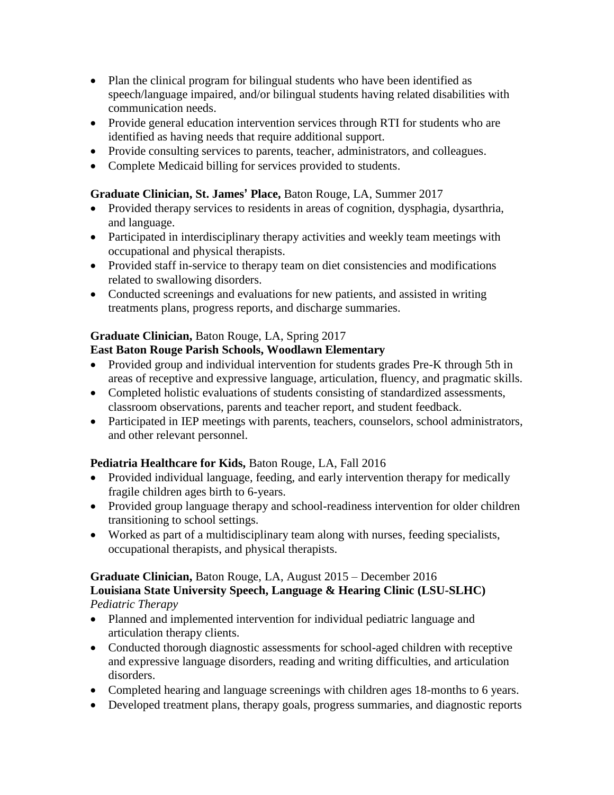- Plan the clinical program for bilingual students who have been identified as speech/language impaired, and/or bilingual students having related disabilities with communication needs.
- Provide general education intervention services through RTI for students who are identified as having needs that require additional support.
- Provide consulting services to parents, teacher, administrators, and colleagues.
- Complete Medicaid billing for services provided to students.

## **Graduate Clinician, St. James' Place,** Baton Rouge, LA, Summer 2017

- Provided therapy services to residents in areas of cognition, dysphagia, dysarthria, and language.
- Participated in interdisciplinary therapy activities and weekly team meetings with occupational and physical therapists.
- Provided staff in-service to therapy team on diet consistencies and modifications related to swallowing disorders.
- Conducted screenings and evaluations for new patients, and assisted in writing treatments plans, progress reports, and discharge summaries.

# **Graduate Clinician,** Baton Rouge, LA, Spring 2017

# **East Baton Rouge Parish Schools, Woodlawn Elementary**

- Provided group and individual intervention for students grades Pre-K through 5th in areas of receptive and expressive language, articulation, fluency, and pragmatic skills.
- Completed holistic evaluations of students consisting of standardized assessments, classroom observations, parents and teacher report, and student feedback.
- Participated in IEP meetings with parents, teachers, counselors, school administrators, and other relevant personnel.

# **Pediatria Healthcare for Kids,** Baton Rouge, LA, Fall 2016

- Provided individual language, feeding, and early intervention therapy for medically fragile children ages birth to 6-years.
- Provided group language therapy and school-readiness intervention for older children transitioning to school settings.
- Worked as part of a multidisciplinary team along with nurses, feeding specialists, occupational therapists, and physical therapists.

#### **Graduate Clinician,** Baton Rouge, LA, August 2015 – December 2016 **Louisiana State University Speech, Language & Hearing Clinic (LSU-SLHC)** *Pediatric Therapy*

- Planned and implemented intervention for individual pediatric language and articulation therapy clients.
- Conducted thorough diagnostic assessments for school-aged children with receptive and expressive language disorders, reading and writing difficulties, and articulation disorders.
- Completed hearing and language screenings with children ages 18-months to 6 years.
- Developed treatment plans, therapy goals, progress summaries, and diagnostic reports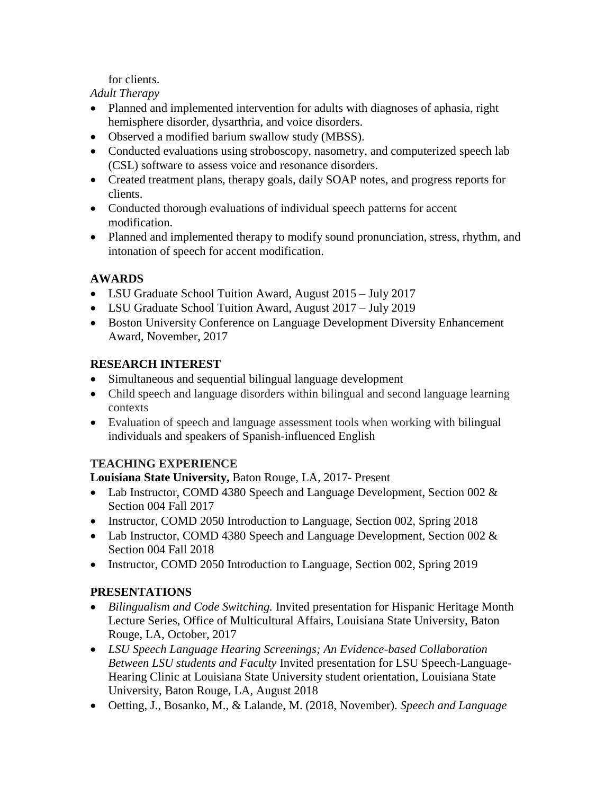for clients.

*Adult Therapy*

- Planned and implemented intervention for adults with diagnoses of aphasia, right hemisphere disorder, dysarthria, and voice disorders.
- Observed a modified barium swallow study (MBSS).
- Conducted evaluations using stroboscopy, nasometry, and computerized speech lab (CSL) software to assess voice and resonance disorders.
- Created treatment plans, therapy goals, daily SOAP notes, and progress reports for clients.
- Conducted thorough evaluations of individual speech patterns for accent modification.
- Planned and implemented therapy to modify sound pronunciation, stress, rhythm, and intonation of speech for accent modification.

# **AWARDS**

- LSU Graduate School Tuition Award, August 2015 July 2017
- LSU Graduate School Tuition Award, August 2017 July 2019
- Boston University Conference on Language Development Diversity Enhancement Award, November, 2017

# **RESEARCH INTEREST**

- Simultaneous and sequential bilingual language development
- Child speech and language disorders within bilingual and second language learning contexts
- Evaluation of speech and language assessment tools when working with bilingual individuals and speakers of Spanish-influenced English

# **TEACHING EXPERIENCE**

**Louisiana State University,** Baton Rouge, LA, 2017- Present

- Lab Instructor, COMD 4380 Speech and Language Development, Section 002 & Section 004 Fall 2017
- Instructor, COMD 2050 Introduction to Language, Section 002, Spring 2018
- Lab Instructor, COMD 4380 Speech and Language Development, Section 002 & Section 004 Fall 2018
- Instructor, COMD 2050 Introduction to Language, Section 002, Spring 2019

# **PRESENTATIONS**

- *Bilingualism and Code Switching.* Invited presentation for Hispanic Heritage Month Lecture Series, Office of Multicultural Affairs, Louisiana State University, Baton Rouge, LA, October, 2017
- *LSU Speech Language Hearing Screenings; An Evidence-based Collaboration Between LSU students and Faculty* Invited presentation for LSU Speech-Language-Hearing Clinic at Louisiana State University student orientation, Louisiana State University, Baton Rouge, LA, August 2018
- Oetting, J., Bosanko, M., & Lalande, M. (2018, November). *Speech and Language*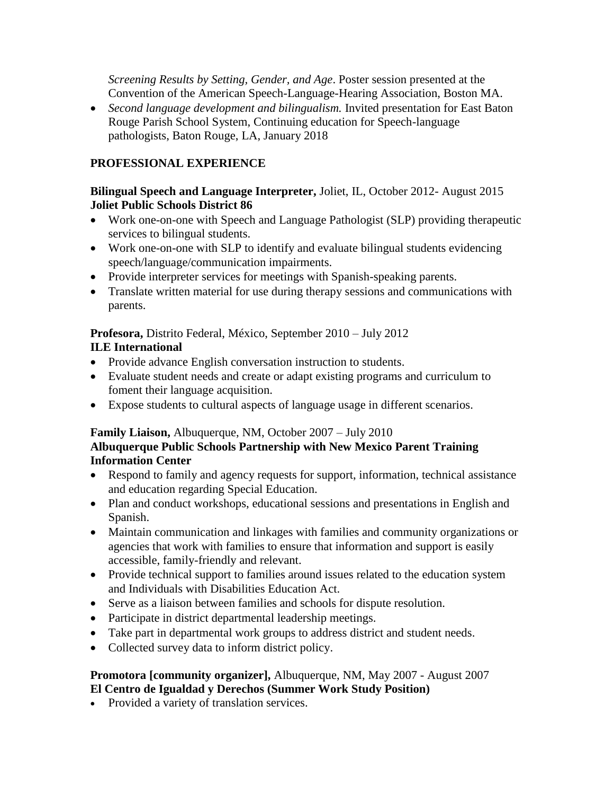*Screening Results by Setting, Gender, and Age*. Poster session presented at the Convention of the American Speech-Language-Hearing Association, Boston MA.

• *Second language development and bilingualism.* Invited presentation for East Baton Rouge Parish School System, Continuing education for Speech-language pathologists, Baton Rouge, LA, January 2018

## **PROFESSIONAL EXPERIENCE**

### **Bilingual Speech and Language Interpreter,** Joliet, IL, October 2012- August 2015 **Joliet Public Schools District 86**

- Work one-on-one with Speech and Language Pathologist (SLP) providing therapeutic services to bilingual students.
- Work one-on-one with SLP to identify and evaluate bilingual students evidencing speech/language/communication impairments.
- Provide interpreter services for meetings with Spanish-speaking parents.
- Translate written material for use during therapy sessions and communications with parents.

### **Profesora,** Distrito Federal, México, September 2010 – July 2012 **ILE International**

- Provide advance English conversation instruction to students.
- Evaluate student needs and create or adapt existing programs and curriculum to foment their language acquisition.
- Expose students to cultural aspects of language usage in different scenarios.

### **Family Liaison,** Albuquerque, NM, October 2007 – July 2010

## **Albuquerque Public Schools Partnership with New Mexico Parent Training Information Center**

- Respond to family and agency requests for support, information, technical assistance and education regarding Special Education.
- Plan and conduct workshops, educational sessions and presentations in English and Spanish.
- Maintain communication and linkages with families and community organizations or agencies that work with families to ensure that information and support is easily accessible, family-friendly and relevant.
- Provide technical support to families around issues related to the education system and Individuals with Disabilities Education Act.
- Serve as a liaison between families and schools for dispute resolution.
- Participate in district departmental leadership meetings.
- Take part in departmental work groups to address district and student needs.
- Collected survey data to inform district policy.

#### **Promotora [community organizer],** Albuquerque, NM, May 2007 - August 2007 **El Centro de Igualdad y Derechos (Summer Work Study Position)**

• Provided a variety of translation services.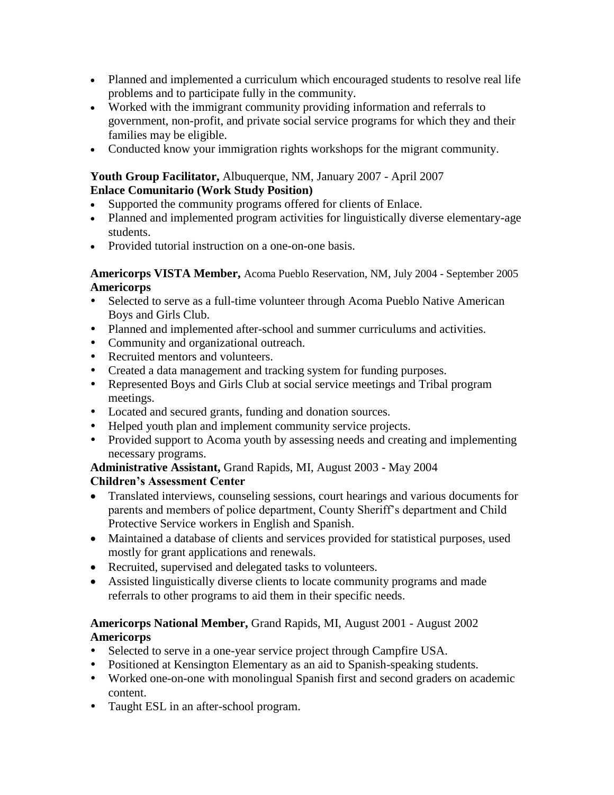- Planned and implemented a curriculum which encouraged students to resolve real life problems and to participate fully in the community.
- Worked with the immigrant community providing information and referrals to government, non-profit, and private social service programs for which they and their families may be eligible.
- Conducted know your immigration rights workshops for the migrant community.

## **Youth Group Facilitator,** Albuquerque, NM, January 2007 - April 2007 **Enlace Comunitario (Work Study Position)**

- Supported the community programs offered for clients of Enlace.
- Planned and implemented program activities for linguistically diverse elementary-age students.
- Provided tutorial instruction on a one-on-one basis.

**Americorps VISTA Member,** Acoma Pueblo Reservation, NM, July 2004 - September 2005 **Americorps**

- Selected to serve as a full-time volunteer through Acoma Pueblo Native American Boys and Girls Club.
- Planned and implemented after-school and summer curriculums and activities.
- Community and organizational outreach.
- Recruited mentors and volunteers.
- Created a data management and tracking system for funding purposes.
- Represented Boys and Girls Club at social service meetings and Tribal program meetings.
- Located and secured grants, funding and donation sources.
- Helped youth plan and implement community service projects.
- Provided support to Acoma youth by assessing needs and creating and implementing necessary programs.

#### **Administrative Assistant,** Grand Rapids, MI, August 2003 - May 2004 **Children's Assessment Center**

- Translated interviews, counseling sessions, court hearings and various documents for parents and members of police department, County Sheriff's department and Child Protective Service workers in English and Spanish.
- Maintained a database of clients and services provided for statistical purposes, used mostly for grant applications and renewals.
- Recruited, supervised and delegated tasks to volunteers.
- Assisted linguistically diverse clients to locate community programs and made referrals to other programs to aid them in their specific needs.

## **Americorps National Member,** Grand Rapids, MI, August 2001 - August 2002 **Americorps**

- Selected to serve in a one-year service project through Campfire USA.
- Positioned at Kensington Elementary as an aid to Spanish-speaking students.
- Worked one-on-one with monolingual Spanish first and second graders on academic content.
- Taught ESL in an after-school program.